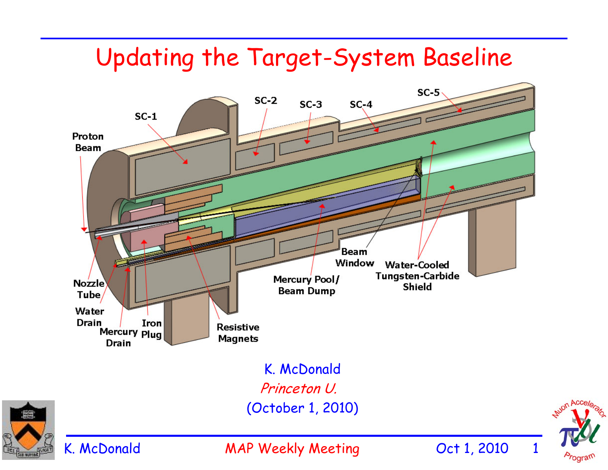## Updating the Target-System Baseline



*Program*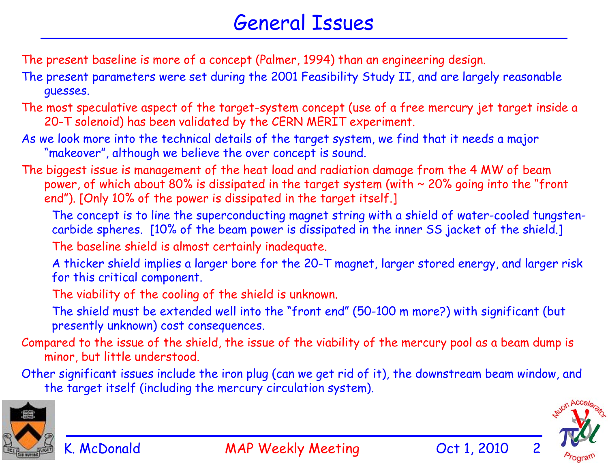## General Issues

The present baseline is more of a concept (Palmer, 1994) than an engineering design.

- The present parameters were set during the 2001 Feasibility Study II, and are largely reasonable guesses.
- The most speculative aspect of the target-system concept (use of a free mercury jet target inside a 20-T solenoid) has been validated by the CERN MERIT experiment.
- As we look more into the technical details of the target system, we find that it needs a major "makeover", although we believe the over concept is sound.
- The biggest issue is management of the heat load and radiation damage from the 4 MW of beam power, of which about 80% is dissipated in the target system (with  $\sim$  20% going into the "front end"). [Only 10% of the power is dissipated in the target itself.]
	- The concept is to line the superconducting magnet string with a shield of water-cooled tungstencarbide spheres. [10% of the beam power is dissipated in the inner SS jacket of the shield.] The baseline shield is almost certainly inadequate.
	- A thicker shield implies a larger bore for the 20-T magnet, larger stored energy, and larger risk for this critical component.
	- The viability of the cooling of the shield is unknown.
	- The shield must be extended well into the "front end" (50-100 m more?) with significant (but presently unknown) cost consequences.
- Compared to the issue of the shield, the issue of the viability of the mercury pool as a beam dump is minor, but little understood.
- Other significant issues include the iron plug (can we get rid of it), the downstream beam window, and the target itself (including the mercury circulation system).



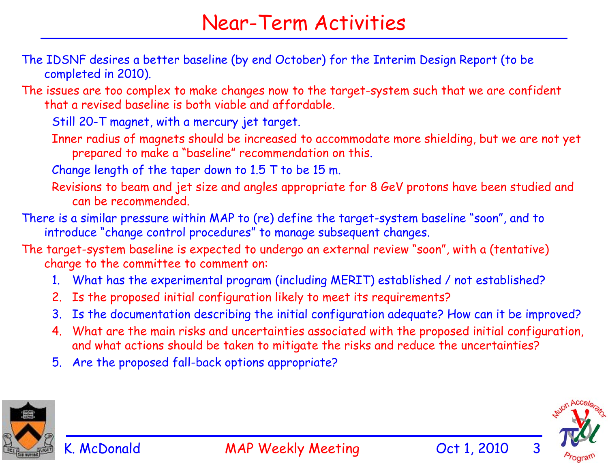## Near-Term Activities

- The IDSNF desires a better baseline (by end October) for the Interim Design Report (to be completed in 2010).
- The issues are too complex to make changes now to the target-system such that we are confident that a revised baseline is both viable and affordable.
	- Still 20-T magnet, with a mercury jet target.
	- Inner radius of magnets should be increased to accommodate more shielding, but we are not yet prepared to make a "baseline" recommendation on this.
	- Change length of the taper down to 1.5 T to be 15 m.
	- Revisions to beam and jet size and angles appropriate for 8 GeV protons have been studied and can be recommended.
- There is a similar pressure within MAP to (re) define the target-system baseline "soon", and to introduce "change control procedures" to manage subsequent changes.
- The target-system baseline is expected to undergo an external review "soon", with a (tentative) charge to the committee to comment on:
	- 1. What has the experimental program (including MERIT) established / not established?
	- 2. Is the proposed initial configuration likely to meet its requirements?
	- 3. Is the documentation describing the initial configuration adequate? How can it be improved?
	- 4. What are the main risks and uncertainties associated with the proposed initial configuration, and what actions should be taken to mitigate the risks and reduce the uncertainties?
	- 5. Are the proposed fall-back options appropriate?